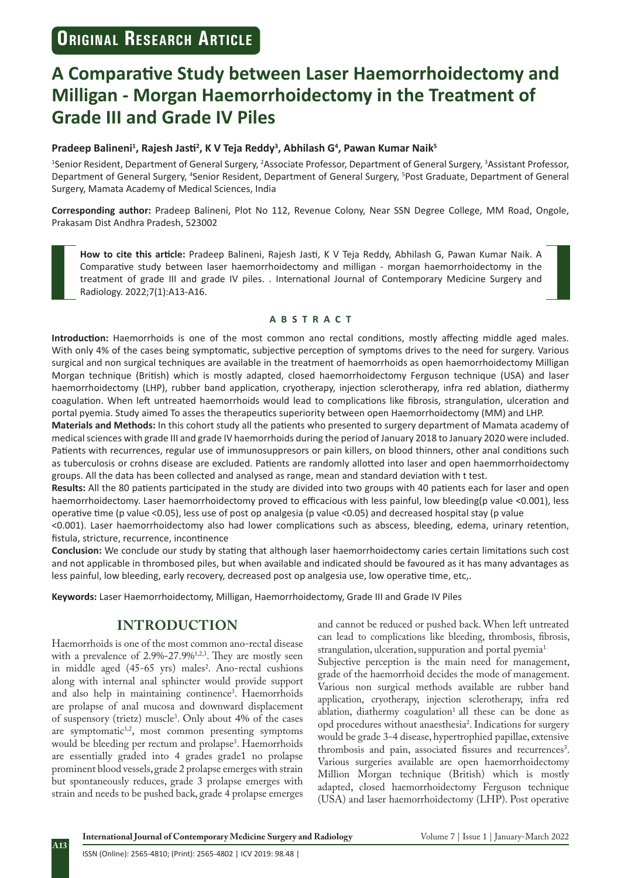# **A Comparative Study between Laser Haemorrhoidectomy and Milligan - Morgan Haemorrhoidectomy in the Treatment of Grade III and Grade IV Piles**

#### **Pradeep Balineni<sup>1</sup> , Rajesh Jasti<sup>2</sup> , K V Teja Reddy<sup>3</sup> , Abhilash G<sup>4</sup> , Pawan Kumar Naik<sup>5</sup>**

<sup>1</sup>Senior Resident, Department of General Surgery, <sup>2</sup>Associate Professor, Department of General Surgery, <sup>3</sup>Assistant Professor, Department of General Surgery, <sup>4</sup>Senior Resident, Department of General Surgery, <sup>5</sup>Post Graduate, Department of General Surgery, Mamata Academy of Medical Sciences, India

**Corresponding author:** Pradeep Balineni, Plot No 112, Revenue Colony, Near SSN Degree College, MM Road, Ongole, Prakasam Dist Andhra Pradesh, 523002

**How to cite this article:** Pradeep Balineni, Rajesh Jasti, K V Teja Reddy, Abhilash G, Pawan Kumar Naik. A Comparative study between laser haemorrhoidectomy and milligan - morgan haemorrhoidectomy in the treatment of grade III and grade IV piles. . International Journal of Contemporary Medicine Surgery and Radiology. 2022;7(1):A13-A16.

#### **ABSTRACT**

**Introduction:** Haemorrhoids is one of the most common ano rectal conditions, mostly affecting middle aged males. With only 4% of the cases being symptomatic, subjective perception of symptoms drives to the need for surgery. Various surgical and non surgical techniques are available in the treatment of haemorrhoids as open haemorrhoidectomy Milligan Morgan technique (British) which is mostly adapted, closed haemorrhoidectomy Ferguson technique (USA) and laser haemorrhoidectomy (LHP), rubber band application, cryotherapy, injection sclerotherapy, infra red ablation, diathermy coagulation. When left untreated haemorrhoids would lead to complications like fibrosis, strangulation, ulceration and portal pyemia. Study aimed To asses the therapeutics superiority between open Haemorrhoidectomy (MM) and LHP.

**Materials and Methods:** In this cohort study all the patients who presented to surgery department of Mamata academy of medical sciences with grade III and grade IV haemorrhoids during the period of January 2018 to January 2020 were included. Patients with recurrences, regular use of immunosuppresors or pain killers, on blood thinners, other anal conditions such as tuberculosis or crohns disease are excluded. Patients are randomly allotted into laser and open haemmorrhoidectomy groups. All the data has been collected and analysed as range, mean and standard deviation with t test.

**Results:** All the 80 patients participated in the study are divided into two groups with 40 patients each for laser and open haemorrhoidectomy. Laser haemorrhoidectomy proved to efficacious with less painful, low bleeding(p value <0.001), less operative time (p value <0.05), less use of post op analgesia (p value <0.05) and decreased hospital stay (p value

<0.001). Laser haemorrhoidectomy also had lower complications such as abscess, bleeding, edema, urinary retention, fistula, stricture, recurrence, incontinence

**Conclusion:** We conclude our study by stating that although laser haemorrhoidectomy caries certain limitations such cost and not applicable in thrombosed piles, but when available and indicated should be favoured as it has many advantages as less painful, low bleeding, early recovery, decreased post op analgesia use, low operative time, etc,.

**Keywords:** Laser Haemorrhoidectomy, Milligan, Haemorrhoidectomy, Grade III and Grade IV Piles

## **INTRODUCTION**

Haemorrhoids is one of the most common ano-rectal disease with a prevalence of  $2.9\% - 27.9\%$ <sup>1,2,3</sup>. They are mostly seen in middle aged (45-65 yrs) males<sup>2</sup>. Ano-rectal cushions along with internal anal sphincter would provide support and also help in maintaining continence3 . Haemorrhoids are prolapse of anal mucosa and downward displacement of suspensory (trietz) muscle3 . Only about 4% of the cases are symptomatic $1,2$ , most common presenting symptoms would be bleeding per rectum and prolapse3 . Haemorrhoids are essentially graded into 4 grades grade1 no prolapse prominent blood vessels, grade 2 prolapse emerges with strain but spontaneously reduces, grade 3 prolapse emerges with strain and needs to be pushed back, grade 4 prolapse emerges

and cannot be reduced or pushed back. When left untreated can lead to complications like bleeding, thrombosis, fibrosis, strangulation, ulceration, suppuration and portal pyemia<sup>1.</sup> Subjective perception is the main need for management, grade of the haemorrhoid decides the mode of management. Various non surgical methods available are rubber band application, cryotherapy, injection sclerotherapy, infra red ablation, diathermy coagulation<sup>1</sup> all these can be done as opd procedures without anaesthesia2 . Indications for surgery would be grade 3-4 disease, hypertrophied papillae, extensive thrombosis and pain, associated fissures and recurrences<sup>3</sup>.

Various surgeries available are open haemorrhoidectomy Million Morgan technique (British) which is mostly adapted, closed haemorrhoidectomy Ferguson technique (USA) and laser haemorrhoidectomy (LHP). Post operative

**International Journal of Contemporary Medicine Surgery and Radiology** Volume 7 | Issue 1 | January-March 2022

**A13**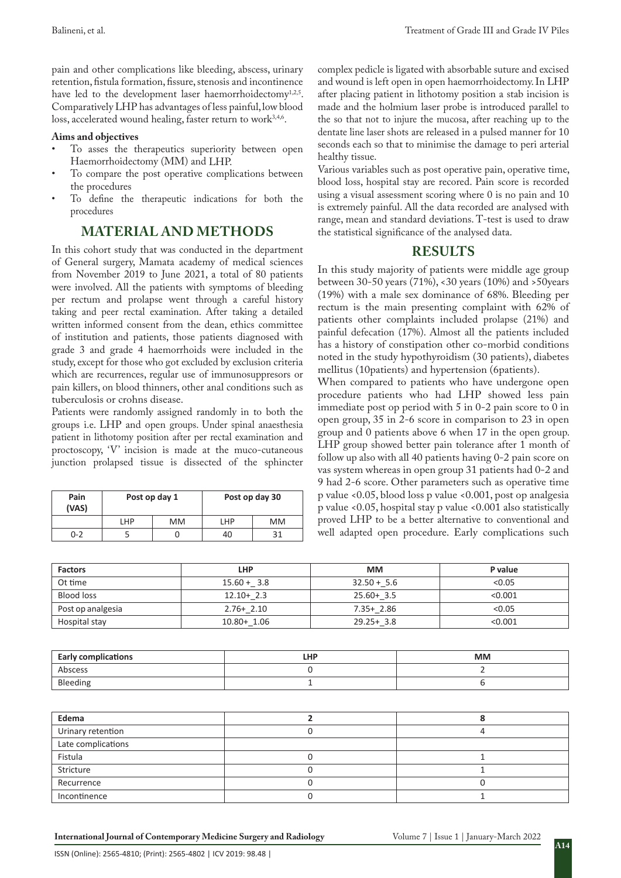pain and other complications like bleeding, abscess, urinary retention, fistula formation, fissure, stenosis and incontinence have led to the development laser haemorrhoidectomy<sup>1,2,5</sup>. Comparatively LHP has advantages of less painful, low blood loss, accelerated wound healing, faster return to work<sup>3,4,6</sup>.

#### **Aims and objectives**

- To asses the therapeutics superiority between open Haemorrhoidectomy (MM) and LHP.
- To compare the post operative complications between the procedures
- To define the therapeutic indications for both the procedures

# **MATERIAL AND METHODS**

In this cohort study that was conducted in the department of General surgery, Mamata academy of medical sciences from November 2019 to June 2021, a total of 80 patients were involved. All the patients with symptoms of bleeding per rectum and prolapse went through a careful history taking and peer rectal examination. After taking a detailed written informed consent from the dean, ethics committee of institution and patients, those patients diagnosed with grade 3 and grade 4 haemorrhoids were included in the study, except for those who got excluded by exclusion criteria which are recurrences, regular use of immunosuppresors or pain killers, on blood thinners, other anal conditions such as tuberculosis or crohns disease.

Patients were randomly assigned randomly in to both the groups i.e. LHP and open groups. Under spinal anaesthesia patient in lithotomy position after per rectal examination and proctoscopy, 'V' incision is made at the muco-cutaneous junction prolapsed tissue is dissected of the sphincter

| Pain<br>(VAS) | Post op day 1 |    | Post op day 30 |    |
|---------------|---------------|----|----------------|----|
|               | LHP           | MМ | LHP            | МM |
| $0 - 2$       |               |    | 40             |    |

complex pedicle is ligated with absorbable suture and excised and wound is left open in open haemorrhoidectomy. In LHP after placing patient in lithotomy position a stab incision is made and the holmium laser probe is introduced parallel to the so that not to injure the mucosa, after reaching up to the dentate line laser shots are released in a pulsed manner for 10 seconds each so that to minimise the damage to peri arterial healthy tissue.

Various variables such as post operative pain, operative time, blood loss, hospital stay are recored. Pain score is recorded using a visual assessment scoring where 0 is no pain and 10 is extremely painful. All the data recorded are analysed with range, mean and standard deviations. T-test is used to draw the statistical significance of the analysed data.

## **RESULTS**

In this study majority of patients were middle age group between 30-50 years (71%), <30 years (10%) and >50years (19%) with a male sex dominance of 68%. Bleeding per rectum is the main presenting complaint with 62% of patients other complaints included prolapse (21%) and painful defecation (17%). Almost all the patients included has a history of constipation other co-morbid conditions noted in the study hypothyroidism (30 patients), diabetes mellitus (10patients) and hypertension (6patients).

When compared to patients who have undergone open procedure patients who had LHP showed less pain immediate post op period with 5 in 0-2 pain score to 0 in open group, 35 in 2-6 score in comparison to 23 in open group and 0 patients above 6 when 17 in the open group. LHP group showed better pain tolerance after 1 month of follow up also with all 40 patients having 0-2 pain score on vas system whereas in open group 31 patients had 0-2 and 9 had 2-6 score. Other parameters such as operative time p value <0.05, blood loss p value <0.001, post op analgesia p value <0.05, hospital stay p value <0.001 also statistically proved LHP to be a better alternative to conventional and well adapted open procedure. Early complications such

| <b>Factors</b>    | <b>LHP</b>     | <b>MM</b>     | P value |
|-------------------|----------------|---------------|---------|
| Ot time           | $15.60 + 3.8$  | $32.50 + 5.6$ | < 0.05  |
| <b>Blood loss</b> | $12.10+2.3$    | $25.60 + 3.5$ | < 0.001 |
| Post op analgesia | $2.76 + 2.10$  | $7.35 + 2.86$ | < 0.05  |
| Hospital stay     | $10.80 + 1.06$ | $29.25 + 3.8$ | < 0.001 |

| <b>Early complications</b> | LHP | <b>MM</b> |
|----------------------------|-----|-----------|
| Abscess                    |     |           |
| Bleeding                   |     |           |

| Edema              |  |
|--------------------|--|
| Urinary retention  |  |
| Late complications |  |
| Fistula            |  |
| Stricture          |  |
| Recurrence         |  |
| Incontinence       |  |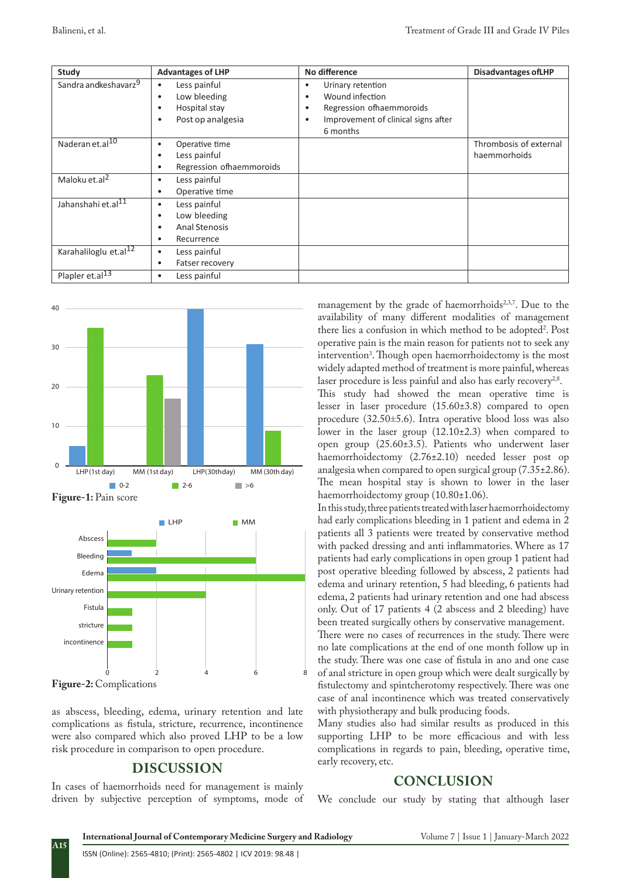| Study                             | <b>Advantages of LHP</b>                                                                                       | No difference                                                                                                                            | <b>Disadvantages of LHP</b>            |
|-----------------------------------|----------------------------------------------------------------------------------------------------------------|------------------------------------------------------------------------------------------------------------------------------------------|----------------------------------------|
| Sandra andkeshavarz <sup>9</sup>  | Less painful<br>$\bullet$<br>Low bleeding<br>٠<br>Hospital stay<br>٠<br>Post op analgesia<br>$\bullet$         | Urinary retention<br>٠<br>Wound infection<br>٠<br>Regression of haemmoroids<br>٠<br>Improvement of clinical signs after<br>٠<br>6 months |                                        |
| Naderan et.al <sup>10</sup>       | Operative time<br>٠<br>Less painful<br>٠<br>Regression ofhaemmoroids<br>٠                                      |                                                                                                                                          | Thrombosis of external<br>haemmorhoids |
| Maloku et.al <sup>2</sup>         | Less painful<br>٠<br>Operative time<br>٠                                                                       |                                                                                                                                          |                                        |
| Jahanshahi et.al <sup>11</sup>    | Less painful<br>$\bullet$<br>Low bleeding<br>$\bullet$<br><b>Anal Stenosis</b><br>٠<br>Recurrence<br>$\bullet$ |                                                                                                                                          |                                        |
| Karahaliloglu et.al <sup>12</sup> | Less painful<br>٠<br>Fatser recovery                                                                           |                                                                                                                                          |                                        |
| Plapler et.al <sup>13</sup>       | Less painful<br>٠                                                                                              |                                                                                                                                          |                                        |



**Figure-2:** Complications

**A15**

as abscess, bleeding, edema, urinary retention and late complications as fistula, stricture, recurrence, incontinence were also compared which also proved LHP to be a low risk procedure in comparison to open procedure.

## **DISCUSSION**

In cases of haemorrhoids need for management is mainly driven by subjective perception of symptoms, mode of

management by the grade of haemorrhoids<sup>2,3,7</sup>. Due to the availability of many different modalities of management there lies a confusion in which method to be adopted2 . Post operative pain is the main reason for patients not to seek any intervention3 . Though open haemorrhoidectomy is the most widely adapted method of treatment is more painful, whereas laser procedure is less painful and also has early recovery<sup>2,8</sup>.

This study had showed the mean operative time is lesser in laser procedure (15.60±3.8) compared to open procedure (32.50±5.6). Intra operative blood loss was also lower in the laser group (12.10±2.3) when compared to open group (25.60±3.5). Patients who underwent laser haemorrhoidectomy (2.76±2.10) needed lesser post op analgesia when compared to open surgical group (7.35±2.86). The mean hospital stay is shown to lower in the laser haemorrhoidectomy group (10.80±1.06).

In this study, three patients treated with laser haemorrhoidectomy had early complications bleeding in 1 patient and edema in 2 patients all 3 patients were treated by conservative method with packed dressing and anti inflammatories. Where as 17 patients had early complications in open group 1 patient had post operative bleeding followed by abscess, 2 patients had edema and urinary retention, 5 had bleeding, 6 patients had edema, 2 patients had urinary retention and one had abscess only. Out of 17 patients 4 (2 abscess and 2 bleeding) have been treated surgically others by conservative management. There were no cases of recurrences in the study. There were no late complications at the end of one month follow up in the study. There was one case of fistula in ano and one case of anal stricture in open group which were dealt surgically by fistulectomy and spintcherotomy respectively. There was one case of anal incontinence which was treated conservatively with physiotherapy and bulk producing foods.

Many studies also had similar results as produced in this supporting LHP to be more efficacious and with less complications in regards to pain, bleeding, operative time, early recovery, etc.

#### **CONCLUSION**

We conclude our study by stating that although laser